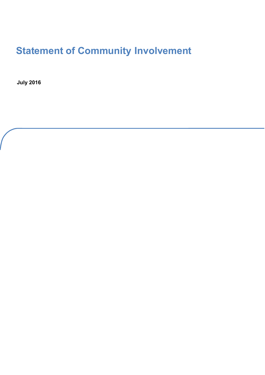# **Statement of Community Involvement**

**July 2016**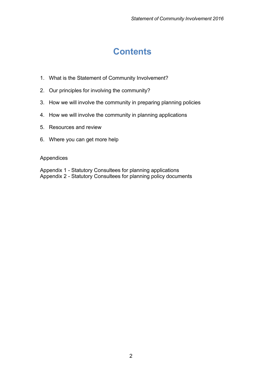# **Contents**

- 1. What is the Statement of Community Involvement?
- 2. Our principles for involving the community?
- 3. How we will involve the community in preparing planning policies
- 4. How we will involve the community in planning applications
- 5. Resources and review
- 6. Where you can get more help

#### Appendices

Appendix 1 - Statutory Consultees for planning applications Appendix 2 - Statutory Consultees for planning policy documents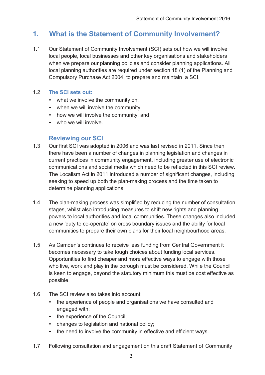# **1. What is the Statement of Community Involvement?**

1.1 Our Statement of Community Involvement (SCI) sets out how we will involve local people, local businesses and other key organisations and stakeholders when we prepare our planning policies and consider planning applications. All local planning authorities are required under section 18 (1) of the Planning and Compulsory Purchase Act 2004, to prepare and maintain a SCI,

#### 1.2 **The SCI sets out:**

- what we involve the community on;
- when we will involve the community;
- how we will involve the community; and
- who we will involve.

# **Reviewing our SCI**

- 1.3 Our first SCI was adopted in 2006 and was last revised in 2011. Since then there have been a number of changes in planning legislation and changes in current practices in community engagement, including greater use of electronic communications and social media which need to be reflected in this SCI review. The Localism Act in 2011 introduced a number of significant changes, including seeking to speed up both the plan-making process and the time taken to determine planning applications.
- 1.4 The plan-making process was simplified by reducing the number of consultation stages, whilst also introducing measures to shift new rights and planning powers to local authorities and local communities. These changes also included a new 'duty to co-operate' on cross boundary issues and the ability for local communities to prepare their own plans for their local neighbourhood areas.
- 1.5 As Camden's continues to receive less funding from Central Government it becomes necessary to take tough choices about funding local services. Opportunities to find cheaper and more effective ways to engage with those who live, work and play in the borough must be considered. While the Council is keen to engage, beyond the statutory minimum this must be cost effective as possible.
- 1.6 The SCI review also takes into account:
	- the experience of people and organisations we have consulted and engaged with;
	- the experience of the Council;
	- changes to legislation and national policy;
	- the need to involve the community in effective and efficient ways.
- 1.7 Following consultation and engagement on this draft Statement of Community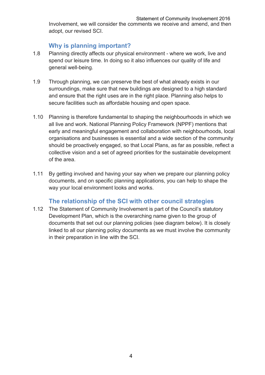Involvement, we will consider the comments we receive and amend, and then adopt, our revised SCI.

# **Why is planning important?**

- 1.8 Planning directly affects our physical environment where we work, live and spend our leisure time. In doing so it also influences our quality of life and general well-being.
- 1.9 Through planning, we can preserve the best of what already exists in our surroundings, make sure that new buildings are designed to a high standard and ensure that the right uses are in the right place. Planning also helps to secure facilities such as affordable housing and open space.
- 1.10 Planning is therefore fundamental to shaping the neighbourhoods in which we all live and work. National Planning Policy Framework (NPPF) mentions that early and meaningful engagement and collaboration with neighbourhoods, local organisations and businesses is essential and a wide section of the community should be proactively engaged, so that Local Plans, as far as possible, reflect a collective vision and a set of agreed priorities for the sustainable development of the area.
- 1.11 By getting involved and having your say when we prepare our planning policy documents, and on specific planning applications, you can help to shape the way your local environment looks and works.

# **The relationship of the SCI with other council strategies**

1.12 The Statement of Community Involvement is part of the Council's statutory Development Plan, which is the overarching name given to the group of documents that set out our planning policies (see diagram below). It is closely linked to all our planning policy documents as we must involve the community in their preparation in line with the SCI.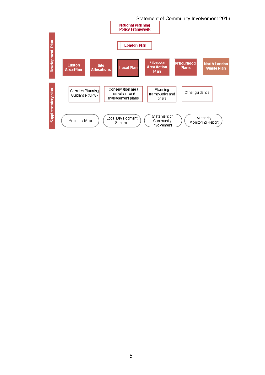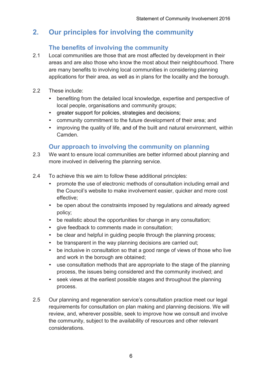# **2. Our principles for involving the community**

# **The benefits of involving the community**

- 2.1 Local communities are those that are most affected by development in their areas and are also those who know the most about their neighbourhood. There are many benefits to involving local communities in considering planning applications for their area, as well as in plans for the locality and the borough.
- 2.2 These include:
	- benefiting from the detailed local knowledge, expertise and perspective of local people, organisations and community groups;
	- greater support for policies, strategies and decisions;
	- community commitment to the future development of their area; and
	- improving the quality of life, and of the built and natural environment, within Camden.

# **Our approach to involving the community on planning**

- 2.3 We want to ensure local communities are better informed about planning and more involved in delivering the planning service.
- 2.4 To achieve this we aim to follow these additional principles:
	- promote the use of electronic methods of consultation including email and the Council's website to make involvement easier, quicker and more cost effective;
	- be open about the constraints imposed by regulations and already agreed policy;
	- be realistic about the opportunities for change in any consultation;
	- give feedback to comments made in consultation;
	- be clear and helpful in guiding people through the planning process;
	- be transparent in the way planning decisions are carried out;
	- be inclusive in consultation so that a good range of views of those who live and work in the borough are obtained;
	- use consultation methods that are appropriate to the stage of the planning process, the issues being considered and the community involved; and
	- seek views at the earliest possible stages and throughout the planning process.
- 2.5 Our planning and regeneration service's consultation practice meet our legal requirements for consultation on plan making and planning decisions. We will review, and, wherever possible, seek to improve how we consult and involve the community, subject to the availability of resources and other relevant considerations.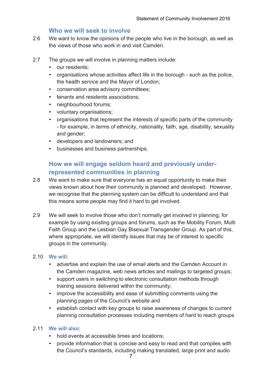#### **Who we will seek to involve**

- 2.6 We want to know the opinions of the people who live in the borough, as well as the views of those who work in and visit Camden.
- 2.7 The groups we will involve in planning matters include:
	- our residents:
	- organisations whose activities affect life in the borough such as the police, the health service and the Mayor of London;
	- conservation area advisory committees;
	- tenants and residents associations;
	- neighbourhood forums:
	- voluntary organisations;
	- organisations that represent the interests of specific parts of the community - for example, in terms of ethnicity, nationality, faith, age, disability, sexuality and gender;
	- developers and landowners; and
	- businesses and business partnerships.

# **How we will engage seldom heard and previously underrepresented communities in planning**

- 2.8 We want to make sure that everyone has an equal opportunity to make their views known about how their community is planned and developed. However, we recognise that the planning system can be difficult to understand and that this means some people may find it hard to get involved.
- 2.9 We will seek to involve those who don't normally get involved in planning, for example by using existing groups and forums, such as the Mobility Forum, Multi Faith Group and the Lesbian Gay Bisexual Transgender Group. As part of this, where appropriate, we will identify issues that may be of interest to specific groups in the community.

#### 2.10 **We will:**

- advertise and explain the use of email alerts and the Camden Account in the Camden magazine, web news articles and mailings to targeted groups;
- support users in switching to electronic consultation methods through training sessions delivered within the community;
- improve the accessibility and ease of submitting comments using the planning pages of the Council's website and
- establish contact with key groups to raise awareness of changes to current planning consultation processes including members of hard to reach groups

#### 2.11 **We will also:**

- hold events at accessible times and locations;
- provide information that is concise and easy to read and that complies with the Council's standards, including making translated, large print and audio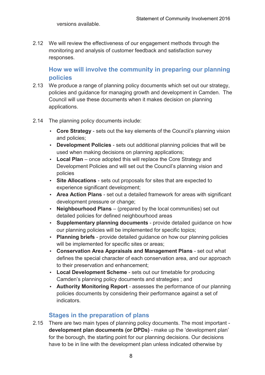2.12 We will review the effectiveness of our engagement methods through the monitoring and analysis of customer feedback and satisfaction survey responses.

**How we will involve the community in preparing our planning policies** 

- 2.13 We produce a range of planning policy documents which set out our strategy, policies and guidance for managing growth and development in Camden. The Council will use these documents when it makes decision on planning applications.
- 2.14 The planning policy documents include:
	- **Core Strategy** sets out the key elements of the Council's planning vision and policies;
	- **Development Policies** sets out additional planning policies that will be used when making decisions on planning applications;
	- **Local Plan** once adopted this will replace the Core Strategy and Development Policies and will set out the Council's planning vision and policies
	- **Site Allocations** sets out proposals for sites that are expected to experience significant development;
	- **Area Action Plans** set out a detailed framework for areas with significant development pressure or change;
	- **Neighbourhood Plans** (prepared by the local communities) set out detailed policies for defined neighbourhood areas
	- **Supplementary planning documents** provide detailed guidance on how our planning policies will be implemented for specific topics;
	- **Planning briefs** provide detailed guidance on how our planning policies will be implemented for specific sites or areas;
	- **Conservation Area Appraisals and Management Plans** set out what defines the special character of each conservation area, and our approach to their preservation and enhancement;
	- **Local Development Scheme** sets out our timetable for producing Camden's planning policy documents and strategies ; and
	- **Authority Monitoring Report** assesses the performance of our planning policies documents by considering their performance against a set of indicators.

### **Stages in the preparation of plans**

2.15 There are two main types of planning policy documents. The most important **development plan documents (or DPDs)** - make up the 'development plan' for the borough, the starting point for our planning decisions. Our decisions have to be in line with the development plan unless indicated otherwise by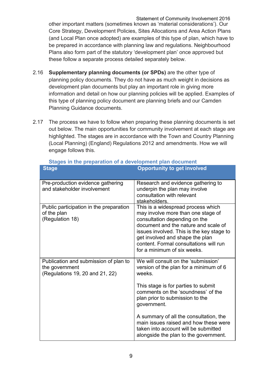Statement of Community Involvement 2016 other important matters (sometimes known as 'material considerations'). Our Core Strategy, Development Policies, Sites Allocations and Area Action Plans (and Local Plan once adopted) are examples of this type of plan, which have to be prepared in accordance with planning law and regulations. Neighbourhood Plans also form part of the statutory 'development plan' once approved but these follow a separate process detailed separately below.

- 2.16 **Supplementary planning documents (or SPDs)** are the other type of planning policy documents. They do not have as much weight in decisions as development plan documents but play an important role in giving more information and detail on how our planning policies will be applied. Examples of this type of planning policy document are planning briefs and our Camden Planning Guidance documents.
- 2.17 The process we have to follow when preparing these planning documents is set out below. The main opportunities for community involvement at each stage are highlighted. The stages are in accordance with the Town and Country Planning (Local Planning) (England) Regulations 2012 and amendments. How we will engage follows this.

| <b>Stage</b>                                                                               | <b>Opportunity to get involved</b>                                                                                                                                                                                                                                                                         |
|--------------------------------------------------------------------------------------------|------------------------------------------------------------------------------------------------------------------------------------------------------------------------------------------------------------------------------------------------------------------------------------------------------------|
| Pre-production evidence gathering<br>and stakeholder involvement                           | Research and evidence gathering to<br>underpin the plan may involve<br>consultation with relevant<br>stakeholders.                                                                                                                                                                                         |
| Public participation in the preparation<br>of the plan<br>(Regulation 18)                  | This is a widespread process which<br>may involve more than one stage of<br>consultation depending on the<br>document and the nature and scale of<br>issues involved. This is the key stage to<br>get involved and shape the plan<br>content. Formal consultations will run<br>for a minimum of six weeks. |
| Publication and submission of plan to<br>the government<br>(Regulations 19, 20 and 21, 22) | We will consult on the 'submission'<br>version of the plan for a minimum of 6<br>weeks.                                                                                                                                                                                                                    |
|                                                                                            | This stage is for parties to submit<br>comments on the 'soundness' of the<br>plan prior to submission to the<br>government.                                                                                                                                                                                |
|                                                                                            | A summary of all the consultation, the<br>main issues raised and how these were<br>taken into account will be submitted<br>alongside the plan to the government.                                                                                                                                           |

#### **Stages in the preparation of a development plan document**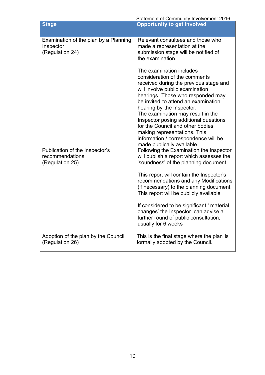| Statement of Community Involvement 2016 |
|-----------------------------------------|
|-----------------------------------------|

| <b>Stage</b>                                                          | <b>Opportunity to get involved</b>                                                                                                                                                                                                                                                                                                                                                                                                                                      |
|-----------------------------------------------------------------------|-------------------------------------------------------------------------------------------------------------------------------------------------------------------------------------------------------------------------------------------------------------------------------------------------------------------------------------------------------------------------------------------------------------------------------------------------------------------------|
| Examination of the plan by a Planning<br>Inspector<br>(Regulation 24) | Relevant consultees and those who<br>made a representation at the<br>submission stage will be notified of<br>the examination.                                                                                                                                                                                                                                                                                                                                           |
|                                                                       | The examination includes<br>consideration of the comments<br>received during the previous stage and<br>will involve public examination<br>hearings. Those who responded may<br>be invited to attend an examination<br>hearing by the Inspector.<br>The examination may result in the<br>Inspector posing additional questions<br>for the Council and other bodies<br>making representations. This<br>information / correspondence will be<br>made publically available. |
| Publication of the Inspector's<br>recommendations<br>(Regulation 25)  | Following the Examination the Inspector<br>will publish a report which assesses the<br>'soundness' of the planning document.                                                                                                                                                                                                                                                                                                                                            |
|                                                                       | This report will contain the Inspector's<br>recommendations and any Modifications<br>(if necessary) to the planning document.<br>This report will be publicly available                                                                                                                                                                                                                                                                                                 |
|                                                                       | If considered to be significant 'material<br>changes' the Inspector can advise a<br>further round of public consultation,<br>usually for 6 weeks                                                                                                                                                                                                                                                                                                                        |
| Adoption of the plan by the Council<br>(Regulation 26)                | This is the final stage where the plan is<br>formally adopted by the Council.                                                                                                                                                                                                                                                                                                                                                                                           |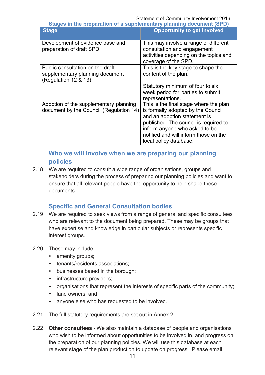Statement of Community Involvement 2016

**Stages in the preparation of a supplementary planning document (SPD) Stage Opportunity to get involved**

| uuyu                                                                                        | $\sigma$                                                                                                                                                                                                                                                  |
|---------------------------------------------------------------------------------------------|-----------------------------------------------------------------------------------------------------------------------------------------------------------------------------------------------------------------------------------------------------------|
| Development of evidence base and<br>preparation of draft SPD                                | This may involve a range of different<br>consultation and engagement<br>activities depending on the topics and<br>coverage of the SPD.                                                                                                                    |
| Public consultation on the draft<br>supplementary planning document<br>(Regulation 12 & 13) | This is the key stage to shape the<br>content of the plan.                                                                                                                                                                                                |
|                                                                                             | Statutory minimum of four to six<br>week period for parties to submit<br>representations.                                                                                                                                                                 |
| Adoption of the supplementary planning<br>document by the Council (Regulation 14)           | This is the final stage where the plan<br>is formally adopted by the Council<br>and an adoption statement is<br>published. The council is required to<br>inform anyone who asked to be<br>notified and will inform those on the<br>local policy database. |

# **Who we will involve when we are preparing our planning policies**

2.18 We are required to consult a wide range of organisations, groups and stakeholders during the process of preparing our planning policies and want to ensure that all relevant people have the opportunity to help shape these documents.

# **Specific and General Consultation bodies**

- 2.19 We are required to seek views from a range of general and specific consultees who are relevant to the document being prepared. These may be groups that have expertise and knowledge in particular subjects or represents specific interest groups.
- 2.20 These may include:
	- amenity groups;
	- tenants/residents associations;
	- businesses based in the borough;
	- infrastructure providers;
	- organisations that represent the interests of specific parts of the community;
	- land owners; and
	- anyone else who has requested to be involved.
- 2.21 The full statutory requirements are set out in Annex 2
- 2.22 **Other consultees -** We also maintain a database of people and organisations who wish to be informed about opportunities to be involved in, and progress on, the preparation of our planning policies. We will use this database at each relevant stage of the plan production to update on progress. Please email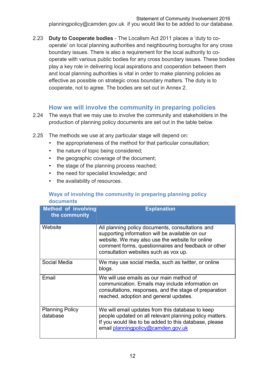Statement of Community Involvement 2016 [planningpolicy@camden.gov.uk](mailto:planningpolicy@camden.gov.uk) if you would like to be added to our database.

2.23 **Duty to Cooperate bodies** - The Localism Act 2011 places a 'duty to cooperate' on local planning authorities and neighbouring boroughs for any cross boundary issues. There is also a requirement for the local authority to cooperate with various public bodies for any cross boundary issues. These bodies play a key role in delivering local aspirations and cooperation between them and local planning authorities is vital in order to make planning policies as effective as possible on strategic cross boundary matters. The duty is to cooperate, not to agree. The bodies are set out in Annex 2.

## **How we will involve the community in preparing policies**

- 2.24 The ways that we may use to involve the community and stakeholders in the production of planning policy documents are set out in the table below.
- 2.25 The methods we use at any particular stage will depend on:
	- the appropriateness of the method for that particular consultation;
	- the nature of topic being considered;
	- the geographic coverage of the document;
	- the stage of the planning process reached;
	- the need for specialist knowledge; and
	- the availability of resources.

#### **Ways of involving the community in preparing planning policy documents**

| <b>Method of involving</b><br>the community | <b>Explanation</b>                                                                                                                                                                                                                                     |
|---------------------------------------------|--------------------------------------------------------------------------------------------------------------------------------------------------------------------------------------------------------------------------------------------------------|
| Website                                     | All planning policy documents, consultations and<br>supporting information will be available on our<br>website. We may also use the website for online<br>comment forms, questionnaires and feedback or other<br>consultation websites such as vox up. |
| Social Media                                | We may use social media, such as twitter, or online<br>blogs.                                                                                                                                                                                          |
| Email                                       | We will use emails as our main method of<br>communication. Emails may include information on<br>consultations, responses, and the stage of preparation<br>reached, adoption and general updates.                                                       |
| <b>Planning Policy</b><br>database          | We will email updates from this database to keep<br>people updated on all relevant planning policy matters.<br>If you would like to be added to this database, please<br>email planningpolicy@camden.gov.uk                                            |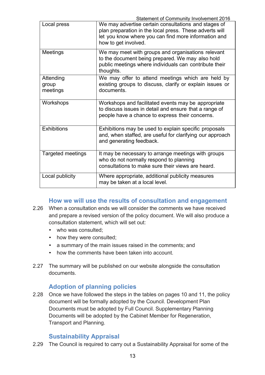| Statement of Community Involvement 2016 |  |
|-----------------------------------------|--|
|-----------------------------------------|--|

| Local press                    | <u>Statement of Community involvement zo it</u><br>We may advertise certain consultations and stages of<br>plan preparation in the local press. These adverts will<br>let you know where you can find more information and<br>how to get involved. |
|--------------------------------|----------------------------------------------------------------------------------------------------------------------------------------------------------------------------------------------------------------------------------------------------|
| <b>Meetings</b>                | We may meet with groups and organisations relevant<br>to the document being prepared. We may also hold<br>public meetings where individuals can contribute their<br>thoughts.                                                                      |
| Attending<br>group<br>meetings | We may offer to attend meetings which are held by<br>existing groups to discuss, clarify or explain issues or<br>documents.                                                                                                                        |
| Workshops                      | Workshops and facilitated events may be appropriate<br>to discuss issues in detail and ensure that a range of<br>people have a chance to express their concerns.                                                                                   |
| <b>Exhibitions</b>             | Exhibitions may be used to explain specific proposals<br>and, when staffed, are useful for clarifying our approach<br>and generating feedback.                                                                                                     |
| <b>Targeted meetings</b>       | It may be necessary to arrange meetings with groups<br>who do not normally respond to planning<br>consultations to make sure their views are heard.                                                                                                |
| Local publicity                | Where appropriate, additional publicity measures<br>may be taken at a local level.                                                                                                                                                                 |

# **How we will use the results of consultation and engagement**

- 2.26 When a consultation ends we will consider the comments we have received and prepare a revised version of the policy document. We will also produce a consultation statement, which will set out:
	- who was consulted;
	- how they were consulted;
	- a summary of the main issues raised in the comments; and
	- how the comments have been taken into account.
- 2.27 The summary will be published on our website alongside the consultation documents.

# **Adoption of planning policies**

2.28 Once we have followed the steps in the tables on pages 10 and 11, the policy document will be formally adopted by the Council. Development Plan Documents must be adopted by Full Council. Supplementary Planning Documents will be adopted by the Cabinet Member for Regeneration, Transport and Planning.

# **Sustainability Appraisal**

2.29 The Council is required to carry out a Sustainability Appraisal for some of the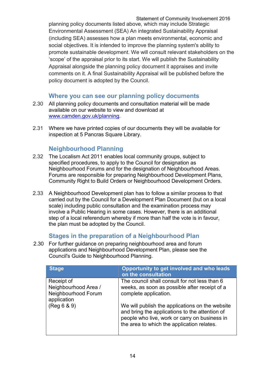Statement of Community Involvement 2016 planning policy documents listed above, which may include Strategic Environmental Assessment (SEA) An integrated Sustainability Appraisal (including SEA) assesses how a plan meets environmental, economic and social objectives. It is intended to improve the planning system's ability to promote sustainable development. We will consult relevant stakeholders on the 'scope' of the appraisal prior to its start. We will publish the Sustainability Appraisal alongside the planning policy document it appraises and invite comments on it. A final Sustainability Appraisal will be published before the policy document is adopted by the Council.

# **Where you can see our planning policy documents**

- 2.30 All planning policy documents and consultation material will be made available on our website to view and download at [www.camden.gov.uk/planning](http://www.camden.gov.uk/planning).
- 2.31 Where we have printed copies of our documents they will be available for inspection at 5 Pancras Square Library.

# **Neighbourhood Planning**

- 2.32 The Localism Act 2011 enables local community groups, subject to specified procedures, to apply to the Council for designation as Neighbourhood Forums and for the designation of Neighbourhood Areas. Forums are responsible for preparing Neighbourhood Development Plans, Community Right to Build Orders or Neighbourhood Development Orders.
- 2.33 A Neighbourhood Development plan has to follow a similar process to that carried out by the Council for a Development Plan Document (but on a local scale) including public consultation and the examination process may involve a Public Hearing in some cases. However, there is an additional step of a local referendum whereby if more than half the vote is in favour, the plan must be adopted by the Council.

# **Stages in the preparation of a Neighbourhood Plan**

2.30 For further guidance on preparing neighbourhood area and forum applications and Neighbourhood Development Plan, please see the Council's Guide to Neighbourhood Planning.

| <b>Stage</b>                                                             | Opportunity to get involved and who leads<br>on the consultation                                                                                                                                 |
|--------------------------------------------------------------------------|--------------------------------------------------------------------------------------------------------------------------------------------------------------------------------------------------|
| Receipt of<br>Neighbourhood Area /<br>Neighbourhood Forum<br>application | The council shall consult for not less than 6<br>weeks, as soon as possible after receipt of a<br>complete application.                                                                          |
| (Reg 6 & 9)                                                              | We will publish the applications on the website<br>and bring the applications to the attention of<br>people who live, work or carry on business in<br>the area to which the application relates. |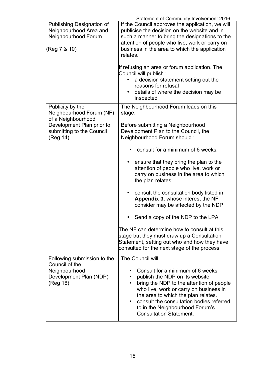|                                                                                                   | <b>Statement of Community Involvement 2016</b>                                                                                                                                                                                                                                                                                                          |  |
|---------------------------------------------------------------------------------------------------|---------------------------------------------------------------------------------------------------------------------------------------------------------------------------------------------------------------------------------------------------------------------------------------------------------------------------------------------------------|--|
| <b>Publishing Designation of</b><br>Neighbourhood Area and<br>Neighbourhood Forum<br>(Reg 7 & 10) | If the Council approves the application, we will<br>publicise the decision on the website and in<br>such a manner to bring the designations to the<br>attention of people who live, work or carry on<br>business in the area to which the application<br>relates.                                                                                       |  |
|                                                                                                   | If refusing an area or forum application. The<br>Council will publish:<br>a decision statement setting out the<br>reasons for refusal<br>details of where the decision may be<br>inspected                                                                                                                                                              |  |
| Publicity by the<br>Neighbourhood Forum (NF)<br>of a Neighbourhood                                | The Neighbourhood Forum leads on this<br>stage.                                                                                                                                                                                                                                                                                                         |  |
| Development Plan prior to<br>submitting to the Council<br>(Reg 14)                                | Before submitting a Neighbourhood<br>Development Plan to the Council, the<br>Neighbourhood Forum should:                                                                                                                                                                                                                                                |  |
|                                                                                                   | consult for a minimum of 6 weeks.                                                                                                                                                                                                                                                                                                                       |  |
|                                                                                                   | ensure that they bring the plan to the<br>attention of people who live, work or<br>carry on business in the area to which<br>the plan relates.                                                                                                                                                                                                          |  |
|                                                                                                   | consult the consultation body listed in<br>$\bullet$<br>Appendix 3, whose interest the NF<br>consider may be affected by the NDP                                                                                                                                                                                                                        |  |
|                                                                                                   | Send a copy of the NDP to the LPA                                                                                                                                                                                                                                                                                                                       |  |
|                                                                                                   | The NF can determine how to consult at this<br>stage but they must draw up a Consultation<br>Statement, setting out who and how they have<br>consulted for the next stage of the process.                                                                                                                                                               |  |
| Following submission to the<br>Council of the                                                     | The Council will                                                                                                                                                                                                                                                                                                                                        |  |
| Neighbourhood<br>Development Plan (NDP)<br>(Reg 16)                                               | Consult for a minimum of 6 weeks<br>publish the NDP on its website<br>$\bullet$<br>bring the NDP to the attention of people<br>$\bullet$<br>who live, work or carry on business in<br>the area to which the plan relates.<br>consult the consultation bodies referred<br>$\bullet$<br>to in the Neighbourhood Forum's<br><b>Consultation Statement.</b> |  |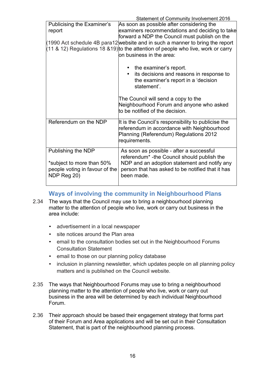| Statement of Community Involvement 2016                                               |
|---------------------------------------------------------------------------------------|
| As soon as possible after considering the                                             |
| examiners recommendations and deciding to take                                        |
| forward a NDP the Council must publish on the                                         |
| (1990 Act schedule 4B para12 website and in such a manner to bring the report         |
| $(11 \& 12)$ Regulations 18 & 19) to the attention of people who live, work or carry  |
| on business in the area:                                                              |
|                                                                                       |
| the examiner's report.                                                                |
| its decisions and reasons in response to<br>$\bullet$                                 |
| the examiner's report in a 'decision                                                  |
| statement'.                                                                           |
|                                                                                       |
| The Council will send a copy to the                                                   |
| Neighbourhood Forum and anyone who asked                                              |
| to be notified of the decision.                                                       |
|                                                                                       |
| It is the Council's responsibility to publicise the                                   |
| referendum in accordance with Neighbourhood<br>Planning (Referendum) Regulations 2012 |
| requirements.                                                                         |
|                                                                                       |
| As soon as possible - after a successful                                              |
| referendum <sup>*</sup> -the Council should publish the                               |
| NDP and an adoption statement and notify any                                          |
| person that has asked to be notified that it has                                      |
| been made.                                                                            |
|                                                                                       |
|                                                                                       |

# **Ways of involving the community in Neighbourhood Plans**

- 2.34 The ways that the Council may use to bring a neighbourhood planning matter to the attention of people who live, work or carry out business in the area include:
	- advertisement in a local newspaper
	- site notices around the Plan area
	- email to the consultation bodies set out in the Neighbourhood Forums Consultation Statement
	- email to those on our planning policy database
	- inclusion in planning newsletter, which updates people on all planning policy matters and is published on the Council website.
- 2.35 The ways that Neighbourhood Forums may use to bring a neighbourhood planning matter to the attention of people who live, work or carry out business in the area will be determined by each individual Neighbourhood Forum.
- 2.36 Their approach should be based their engagement strategy that forms part of their Forum and Area applications and will be set out in their Consultation Statement, that is part of the neighbourhood planning process.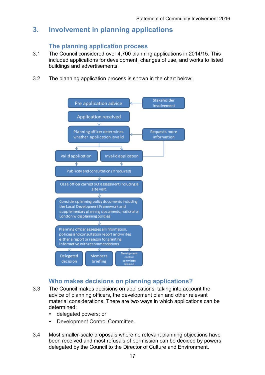# **3. Involvement in planning applications**

## **The planning application process**

- 3.1 The Council considered over 4,700 planning applications in 2014/15. This included applications for development, changes of use, and works to listed buildings and advertisements.
- 3.2 The planning application process is shown in the chart below:



# **Who makes decisions on planning applications?**

- 3.3 The Council makes decisions on applications, taking into account the advice of planning officers, the development plan and other relevant material considerations. There are two ways in which applications can be determined:
	- delegated powers; or
	- Development Control Committee.
- 3.4 Most smaller-scale proposals where no relevant planning objections have been received and most refusals of permission can be decided by powers delegated by the Council to the Director of Culture and Environment.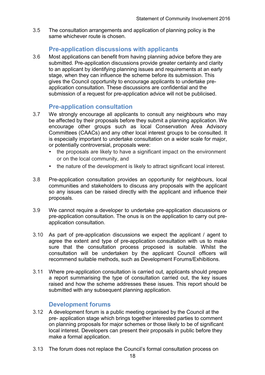3.5 The consultation arrangements and application of planning policy is the same whichever route is chosen.

## **Pre-application discussions with applicants**

3.6 Most applications can benefit from having planning advice before they are submitted. Pre-application discussions provide greater certainty and clarity to an applicant by identifying planning issues and requirements at an early stage, when they can influence the scheme before its submission. This gives the Council opportunity to encourage applicants to undertake preapplication consultation. These discussions are confidential and the submission of a request for pre-application advice will not be publicised.

## **Pre-application consultation**

- 3.7 We strongly encourage all applicants to consult any neighbours who may be affected by their proposals before they submit a planning application. We encourage other groups such as local Conservation Area Advisory Committees (CAACs) and any other local interest groups to be consulted. It is especially important to undertake consultation on a wider scale for major, or potentially controversial, proposals were:
	- the proposals are likely to have a significant impact on the environment or on the local community, and
	- the nature of the development is likely to attract significant local interest.
- 3.8 Pre-application consultation provides an opportunity for neighbours, local communities and stakeholders to discuss any proposals with the applicant so any issues can be raised directly with the applicant and influence their proposals.
- 3.9 We cannot require a developer to undertake pre-application discussions or pre-application consultation. The onus is on the application to carry out preapplication consultation.
- 3.10 As part of pre-application discussions we expect the applicant / agent to agree the extent and type of pre-application consultation with us to make sure that the consultation process proposed is suitable. Whilst the consultation will be undertaken by the applicant Council officers will recommend suitable methods, such as Development Forums/Exhibitions.
- 3.11 Where pre-application consultation is carried out, applicants should prepare a report summarising the type of consultation carried out, the key issues raised and how the scheme addresses these issues. This report should be submitted with any subsequent planning application.

### **Development forums**

- 3.12 A development forum is a public meeting organised by the Council at the pre- application stage which brings together interested parties to comment on planning proposals for major schemes or those likely to be of significant local interest. Developers can present their proposals in public before they make a formal application.
- 3.13 The forum does not replace the Council's formal consultation process on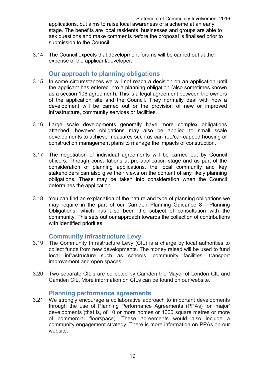applications, but aims to raise local awareness of a scheme at an early stage. The benefits are local residents, businesses and groups are able to ask questions and make comments before the proposal is finalised prior to submission to the Council.

3.14 The Council expects that development forums will be carried out at the expense of the applicant/developer.

## **Our approach to planning obligations**

- 3.15 In some circumstances we will not reach a decision on an application until the applicant has entered into a planning obligation (also sometimes known as a section 106 agreement). This is a legal agreement between the owners of the application site and the Council. They normally deal with how a development will be carried out or the provision of new or improved infrastructure, community services or facilities.
- 3.16 Large scale developments generally have more complex obligations attached, however obligations may also be applied to small scale developments to achieve measures such as car-free/car-capped housing or construction management plans to manage the impacts of construction.
- 3.17 The negotiation of individual agreements will be carried out by Council officers. Through consultations at pre-application stage and as part of the consideration of planning applications, the local community and key stakeholders can also give their views on the content of any likely planning obligations. These may be taken into consideration when the Council determines the application.
- 3.18 You can find an explanation of the nature and type of planning obligations we may require in the part of our [Camden Planning Guidance](http://www.camden.gov.uk/ccm/content/environment/planning-and-built-environment/development-plans-and-policies/supplementary-planning-guidance/file-storage-items/camden-planning-guidance--consultation-draft.en) 8 - Planning Obligations, which has also been the subject of consultation with the community. This sets out our approach towards the collection of contributions with identified priorities.

### **Community Infrastructure Levy**

- 3.19 The Community Infrastructure Levy (CIL) is a charge by local authorities to collect funds from new developments. The money raised will be used to fund local infrastructure such as schools, community facilities, transport improvement and open spaces.
- 3.20 Two separate CIL's are collected by Camden the Mayor of London CIL and Camden CIL. More information on CILs can be found on our website.

### **Planning performance agreements**

3.21 We strongly encourage a collaborative approach to important developments through the use of Planning Performance Agreements (PPAs) for 'major' developments (that is, of 10 or more homes or 1000 square metres or more of commercial floorspace). These agreements would also include a community engagement strategy. There is more information on PPAs on our website.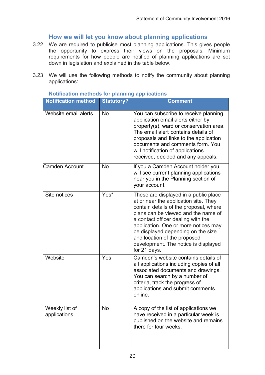# **How we will let you know about planning applications**

- 3.22 We are required to publicise most planning applications. This gives people the opportunity to express their views on the proposals. Minimum requirements for how people are notified of planning applications are set down in legislation and explained in the table below.
- 3.23 We will use the following methods to notify the community about planning applications:

| <b>Notification method</b>     | <b>Statutory?</b> | <b>Comment</b>                                                                                                                                                                                                                                                                                                                                                              |
|--------------------------------|-------------------|-----------------------------------------------------------------------------------------------------------------------------------------------------------------------------------------------------------------------------------------------------------------------------------------------------------------------------------------------------------------------------|
| Website email alerts           | <b>No</b>         | You can subscribe to receive planning<br>application email alerts either by<br>property(s), ward or conservation area.<br>The email alert contains details of<br>proposals and links to the application<br>documents and comments form. You<br>will notification of applications<br>received, decided and any appeals.                                                      |
| Camden Account                 | <b>No</b>         | If you a Camden Account holder you<br>will see current planning applications<br>near you in the Planning section of<br>your account.                                                                                                                                                                                                                                        |
| Site notices                   | Yes*              | These are displayed in a public place<br>at or near the application site. They<br>contain details of the proposal, where<br>plans can be viewed and the name of<br>a contact officer dealing with the<br>application. One or more notices may<br>be displayed depending on the size<br>and location of the proposed<br>development. The notice is displayed<br>for 21 days. |
| Website                        | Yes               | Camden's website contains details of<br>all applications including copies of all<br>associated documents and drawings.<br>You can search by a number of<br>criteria, track the progress of<br>applications and submit comments<br>online.                                                                                                                                   |
| Weekly list of<br>applications | <b>No</b>         | A copy of the list of applications we<br>have received in a particular week is<br>published on the website and remains<br>there for four weeks.                                                                                                                                                                                                                             |

#### **Notification methods for planning applications**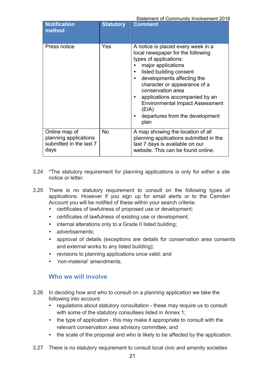| <b>Notification</b><br>method                                             | <b>Statutory</b> | <b>Comment</b>                                                                                                                                                                                                                                                                                                                                                        |
|---------------------------------------------------------------------------|------------------|-----------------------------------------------------------------------------------------------------------------------------------------------------------------------------------------------------------------------------------------------------------------------------------------------------------------------------------------------------------------------|
| Press notice                                                              | Yes              | A notice is placed every week in a<br>local newspaper for the following<br>types of applications:<br>major applications<br>listed building consent<br>developments affecting the<br>character or appearance of a<br>conservation area<br>applications accompanied by an<br><b>Environmental Impact Assessment</b><br>(EIA)<br>departures from the development<br>plan |
| Online map of<br>planning applications<br>submitted in the last 7<br>days | <b>No</b>        | A map showing the location of all<br>planning applications submitted in the<br>last 7 days is available on our<br>website. This can be found online.                                                                                                                                                                                                                  |

- 3.24 \*The statutory requirement for planning applications is only for *either* a site notice or letter.
- 3.25 There is no statutory requirement to consult on the following types of applications. However if you sign up for email alerts or to the Camden Account you will be notified of these within your search criteria:
	- certificates of lawfulness of proposed use or development;
	- certificates of lawfulness of existing use or development;
	- internal alterations only to a Grade II listed building;
	- advertisements;
	- approval of details (exceptions are details for conservation area consents and external works to any listed building);
	- revisions to planning applications once valid; and
	- 'non-material' amendments.

### **Who we will involve**

- 3.26 In deciding how and who to consult on a planning application we take the following into account:
	- regulations about statutory consultation these may require us to consult with some of the statutory consultees listed in Annex 1;
	- the type of application this may make it appropriate to consult with the relevant conservation area advisory committee; and
	- the scale of the proposal and who is likely to be affected by the application.
- 3.27 There is no statutory requirement to consult local civic and amenity societies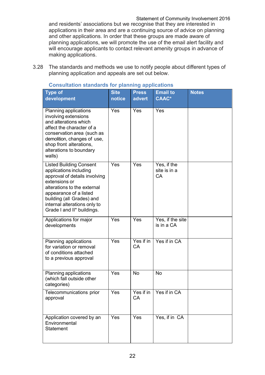Statement of Community Involvement 2016 and residents' associations but we recognise that they are interested in applications in their area and are a continuing source of advice on planning and other applications. In order that these groups are made aware of planning applications, we will promote the use of the email alert facility and will encourage applicants to contact relevant amenity groups in advance of making applications.

3.28 The standards and methods we use to notify people about different types of planning application and appeals are set out below.

| Type of<br>development                                                                                                                                                                                                                                         | <b>Site</b><br>notice | <b>Press</b><br>advert | <b>Email to</b><br><b>CAAC*</b>   | <b>Notes</b> |
|----------------------------------------------------------------------------------------------------------------------------------------------------------------------------------------------------------------------------------------------------------------|-----------------------|------------------------|-----------------------------------|--------------|
| Planning applications<br>involving extensions<br>and alterations which<br>affect the character of a<br>conservation area (such as<br>demolition, changes of use,<br>shop front alterations,<br>alterations to boundary<br>walls)                               | Yes                   | Yes                    | Yes                               |              |
| <b>Listed Building Consent</b><br>applications including<br>approval of details involving<br>extensions or<br>alterations to the external<br>appearance of a listed<br>building (all Grades) and<br>internal alterations only to<br>Grade I and II* buildings. | Yes                   | Yes                    | Yes, if the<br>site is in a<br>CA |              |
| Applications for major<br>developments                                                                                                                                                                                                                         | Yes                   | Yes                    | Yes, if the site<br>is in a CA    |              |
| Planning applications<br>for variation or removal<br>of conditions attached<br>to a previous approval                                                                                                                                                          | Yes                   | Yes if in<br>CA        | Yes if in CA                      |              |
| Planning applications<br>(which fall outside other<br>categories)                                                                                                                                                                                              | Yes                   | <b>No</b>              | <b>No</b>                         |              |
| Telecommunications prior<br>approval                                                                                                                                                                                                                           | Yes                   | Yes if in<br><b>CA</b> | Yes if in CA                      |              |
| Application covered by an<br>Environmental<br><b>Statement</b>                                                                                                                                                                                                 | Yes                   | <b>Yes</b>             | Yes, if in CA                     |              |

#### **Consultation standards for planning applications**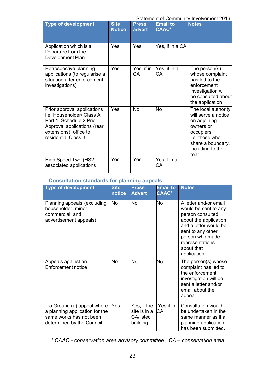Statement of Community Involvement 2016

| <u>UlalChicht Of Obthinumity involvement zo io</u>                                                                                                                     |                              |                        |                                 |                                                                                                                                                          |  |
|------------------------------------------------------------------------------------------------------------------------------------------------------------------------|------------------------------|------------------------|---------------------------------|----------------------------------------------------------------------------------------------------------------------------------------------------------|--|
| <b>Type of development</b>                                                                                                                                             | <b>Site</b><br><b>Notice</b> | <b>Press</b><br>advert | <b>Email to</b><br><b>CAAC*</b> | <b>Notes</b>                                                                                                                                             |  |
| Application which is a<br>Departure from the<br>Development Plan                                                                                                       | Yes                          | Yes                    | Yes, if in a CA                 |                                                                                                                                                          |  |
| Retrospective planning<br>applications (to regularise a<br>situation after enforcement<br>investigations)                                                              | Yes                          | Yes, if in<br>СA       | Yes, if in a<br>CA              | The person $(s)$<br>whose complaint<br>has led to the<br>enforcement<br>investigation will<br>be consulted about<br>the application                      |  |
| Prior approval applications<br>i.e. Householder/ Class A,<br>Part 1, Schedule 2 Prior<br>Approval applications (rear<br>extensions); office to<br>residential Class J. | Yes                          | <b>No</b>              | <b>No</b>                       | The local authority<br>will serve a notice<br>on adjoining<br>owners or<br>occupiers,<br>i.e. those who<br>share a boundary,<br>including to the<br>rear |  |
| High Speed Two (HS2)<br>associated applications                                                                                                                        | Yes                          | Yes                    | Yes if in a<br>CA               |                                                                                                                                                          |  |

#### **Consultation standards for planning appeals**

| <b>Type of development</b>                                                                                              | <b>Site</b><br>notice | <b>Press</b><br><b>Advert</b>                        | <b>Email to</b><br><b>CAAC*</b> | <b>Notes</b>                                                                                                                                                                                                 |
|-------------------------------------------------------------------------------------------------------------------------|-----------------------|------------------------------------------------------|---------------------------------|--------------------------------------------------------------------------------------------------------------------------------------------------------------------------------------------------------------|
| Planning appeals (excluding<br>householder, minor<br>commercial, and<br>advertisement appeals)                          | <b>No</b>             | <b>No</b>                                            | No                              | A letter and/or email<br>would be sent to any<br>person consulted<br>about the application<br>and a letter would be<br>sent to any other<br>person who made<br>representations<br>about that<br>application. |
| Appeals against an<br>Enforcement notice                                                                                | <b>No</b>             | <b>No</b>                                            | <b>No</b>                       | The person(s) whose<br>complaint has led to<br>the enforcement<br>investigation will be<br>sent a letter and/or<br>email about the<br>appeal.                                                                |
| If a Ground (a) appeal where<br>a planning application for the<br>same works has not been<br>determined by the Council. | Yes                   | Yes, if the<br>site is in a<br>CA/listed<br>building | Yes if in<br><b>CA</b>          | <b>Consultation would</b><br>be undertaken in the<br>same manner as if a<br>planning application<br>has been submitted.                                                                                      |

*\* CAAC - conservation area advisory committee CA – conservation area*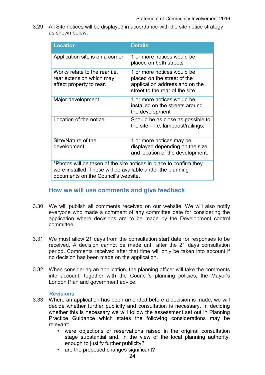3.29 All Site notices will be displayed in accordance with the site notice strategy as shown below:

| <b>Location</b>                                                                                                                                                         | <b>Details</b>                                                                                                                 |  |  |
|-------------------------------------------------------------------------------------------------------------------------------------------------------------------------|--------------------------------------------------------------------------------------------------------------------------------|--|--|
| Application site is on a corner                                                                                                                                         | 1 or more notices would be<br>placed on both streets                                                                           |  |  |
| Works relate to the rear <i>i.e.</i><br>rear extension which may<br>affect property to rear.                                                                            | 1 or more notices would be<br>placed on the street of the<br>application address and on the<br>street to the rear of the site. |  |  |
| Major development                                                                                                                                                       | 1 or more notices would be<br>installed on the streets around<br>the development                                               |  |  |
| Location of the notice.                                                                                                                                                 | Should be as close as possible to<br>the site $-$ i.e. lamppost/railings.                                                      |  |  |
| Size/Nature of the<br>development                                                                                                                                       | 1 or more notices may be<br>displayed depending on the size<br>and location of the development.                                |  |  |
| *Photos will be taken of the site notices in place to confirm they<br>were installed. These will be available under the planning<br>documents on the Council's website. |                                                                                                                                |  |  |

### **How we will use comments and give feedback**

- 3.30 We will publish all comments received on our website. We will also notify everyone who made a comment of any committee date for considering the application where decisions are to be made by the Development control committee.
- 3.31 We must allow 21 days from the consultation start date for responses to be received. A decision cannot be made until after the 21 days consultation period. Comments received after that time will only be taken into account if no decision has been made on the application.
- 3.32 When considering an application, the planning officer will take the comments into account, together with the Council's planning policies, the Mayor's London Plan and government advice.

#### **Revisions**

- 3.33 Where an application has been amended before a decision is made, we will decide whether further publicity and consultation is necessary. In deciding whether this is necessary we will follow the assessment set out in Planning Practice Guidance which states the following considerations may be relevant:
	- were objections or reservations raised in the original consultation stage substantial and, in the view of the local planning authority, enough to justify further publicity?
	- are the proposed changes significant?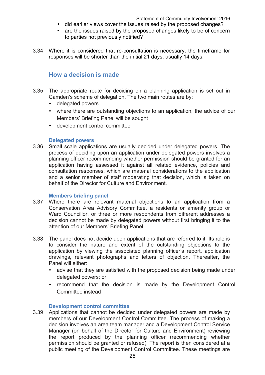- did earlier views cover the issues raised by the proposed changes?
- are the issues raised by the proposed changes likely to be of concern to parties not previously notified?
- 3.34 Where it is considered that re-consultation is necessary, the timeframe for responses will be shorter than the initial 21 days, usually 14 days.

### **How a decision is made**

- 3.35 The appropriate route for deciding on a planning application is set out in Camden's scheme of delegation. The two main routes are by:
	- [delegated powers](http://camden.gov.uk/ccm/navigation/environment/planning-and-built-environment/planning-applications/after-an-application-is-made/deciding-the-outcome-of-an-application/)
	- where there are outstanding objections to an application, the advice of our Members' Briefing Panel will be sought
	- [development control committee](http://democracy.camden.gov.uk/ieListMeetings.aspx?CommitteeId=120)

#### **Delegated powers**

3.36 Small scale applications are usually decided under delegated powers. The process of deciding upon an application under delegated powers involves a planning officer recommending whether permission should be granted for an application having assessed it against all related evidence, policies and consultation responses, which are material considerations to the application and a senior member of staff moderating that decision, which is taken on behalf of the Director for Culture and Environment.

#### **Members briefing panel**

- 3.37 Where there are relevant material objections to an application from a Conservation Area Advisory Committee, a residents or amenity group or Ward Councillor, or three or more respondents from different addresses a decision cannot be made by delegated powers without first bringing it to the attention of our Members' Briefing Panel.
- 3.38 The panel does not decide upon applications that are referred to it. Its role is to consider the nature and extent of the outstanding objections to the application by viewing the associated planning officer's report, application drawings, relevant photographs and letters of objection. Thereafter, the Panel will either:
	- advise that they are satisfied with the proposed decision being made under delegated powers; or
	- recommend that the decision is made by the Development Control Committee instead

#### **Development control committee**

3.39 Applications that cannot be decided under delegated powers are made by members of our Development Control Committee. The process of making a decision involves an area team manager and a Development Control Service Manager (on behalf of the Director for Culture and Environment) reviewing the report produced by the planning officer (recommending whether permission should be granted or refused). The report is then considered at a public meeting of the Development Control Committee. These meetings are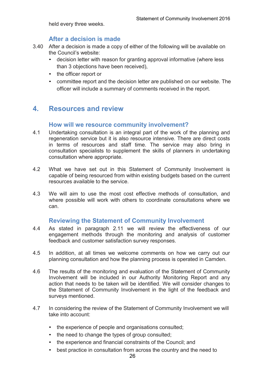held every three weeks.

#### **After a decision is made**

- 3.40 After a decision is made a copy of either of the following will be available on the Council's website:
	- decision letter with reason for granting approval informative (where less than 3 objections have been received),
	- the officer report or
	- committee report and the decision letter are published on our website. The officer will include a summary of comments received in the report.

# **4. Resources and review**

#### **How will we resource community involvement?**

- 4.1 Undertaking consultation is an integral part of the work of the planning and regeneration service but it is also resource intensive. There are direct costs in terms of resources and staff time. The service may also bring in consultation specialists to supplement the skills of planners in undertaking consultation where appropriate.
- 4.2 What we have set out in this Statement of Community Involvement is capable of being resourced from within existing budgets based on the current resources available to the service.
- 4.3 We will aim to use the most cost effective methods of consultation, and where possible will work with others to coordinate consultations where we can.

# **Reviewing the Statement of Community Involvement**

- 4.4 As stated in paragraph 2.11 we will review the effectiveness of our engagement methods through the monitoring and analysis of customer feedback and customer satisfaction survey responses.
- 4.5 In addition, at all times we welcome comments on how we carry out our planning consultation and how the planning process is operated in Camden.
- 4.6 The results of the monitoring and evaluation of the Statement of Community Involvement will be included in our Authority Monitoring Report and any action that needs to be taken will be identified. We will consider changes to the Statement of Community Involvement in the light of the feedback and surveys mentioned.
- 4.7 In considering the review of the Statement of Community Involvement we will take into account:
	- the experience of people and organisations consulted;
	- the need to change the types of group consulted:
	- the experience and financial constraints of the Council; and
	- best practice in consultation from across the country and the need to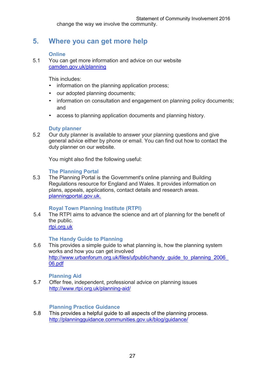change the way we involve the community.

# **5. Where you can get more help**

#### **Online**

5.1 You can get more information and advice on our website [camden.gov.uk/planning](http://camden.gov.uk/planning)

This includes:

- information on the planning application process;
- our adopted planning documents;
- information on consultation and engagement on planning policy documents: and
- access to planning application documents and planning history.

#### **Duty planner**

5.2 Our duty planner is available to answer your planning questions and give general advice either by phone or email. You can find out how to contact the duty planner on our website.

You might also find the following useful:

#### **The Planning Portal**

5.3 The Planning Portal is the Government's online planning and Building Regulations resource for England and Wales. It provides information on plans, appeals, applications, contact details and research areas. [planningportal.gov.uk](http://planningportal.gov.uk/).

#### **Royal Town Planning Institute (RTPI)**

5.4 The RTPI aims to advance the science and art of planning for the benefit of the public. [rtpi.org.uk](http://rtpi.org.uk/)

### **The Handy Guide to Planning**

5.6 This provides a simple guide to what planning is, how the planning system works and how you can get involved http://www.urbanforum.org.uk/files/ufpublic/handy\_guide\_to\_planning\_2006 [06.pdf](http://www.urbanforum.org.uk/files/ufpublic/handy_guide_to_planning_2006_06.pdf)

#### **Planning Aid**

5.7 Offer free, independent, professional advice on planning issues <http://www.rtpi.org.uk/planning-aid/>

#### **Planning Practice Guidance**

5.8 This provides a helpful guide to all aspects of the planning process. http://planningguidance.communities.gov.uk/blog/guidance/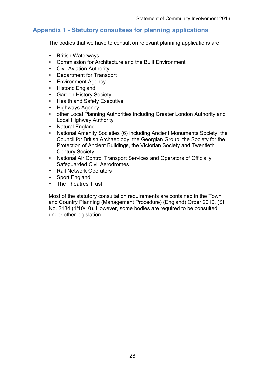## **Appendix 1 - Statutory consultees for planning applications**

The bodies that we have to consult on relevant planning applications are:

- British Waterways
- Commission for Architecture and the Built Environment
- Civil Aviation Authority
- Department for Transport
- Environment Agency
- Historic England
- Garden History Society
- Health and Safety Executive
- Highways Agency
- other Local Planning Authorities including Greater London Authority and Local Highway Authority
- Natural England
- National Amenity Societies (6) including Ancient Monuments Society, the Council for British Archaeology, the Georgian Group, the Society for the Protection of Ancient Buildings, the Victorian Society and Twentieth Century Society
- National Air Control Transport Services and Operators of Officially Safeguarded Civil Aerodromes
- Rail Network Operators
- Sport England
- The Theatres Trust

Most of the statutory consultation requirements are contained in the Town and Country Planning (Management Procedure) (England) Order 2010, (SI No. 2184 (1/10/10). However, some bodies are required to be consulted under other legislation.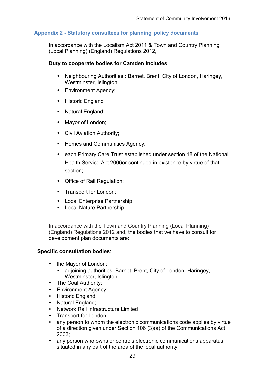#### **Appendix 2 - Statutory consultees for planning policy documents**

In accordance with the Localism Act 2011 & Town and Country Planning (Local Planning) (England) Regulations 2012,

#### **Duty to cooperate bodies for Camden includes**:

- Neighbouring Authorities : Barnet, Brent, City of London, Haringey, Westminster, Islington,
- Environment Agency;
- Historic England
- Natural England;
- Mayor of London;
- Civil Aviation Authority;
- Homes and Communities Agency;
- each Primary Care Trust established under section 18 of the National Health Service Act 2006or continued in existence by virtue of that section;
- Office of Rail Regulation;
- Transport for London;
- Local Enterprise Partnership
- Local Nature Partnership

In accordance with the Town and Country Planning (Local Planning) (England) Regulations 2012 and, the bodies that we have to consult for development plan documents are:

#### **Specific consultation bodies**:

- th[e Mayor of London;](http://www.london.gov.uk/)
	- adjoining authorities: Barnet, Brent, City of London, Haringey, Westminster, Islington,
- The Coal Authority;
- [Environment Agency;](http://www.environment-agency.gov.uk/)
- [Historic](http://www.english-heritage.org.uk/) England
- Natural England;
- Network Rail Infrastructure Limited
- Transport for London
- any person to whom the electronic communications code applies by virtue of a direction given under Section 106 (3)(a) of the Communications Act 2003;
- any person who owns or controls electronic communications apparatus situated in any part of the area of the local authority;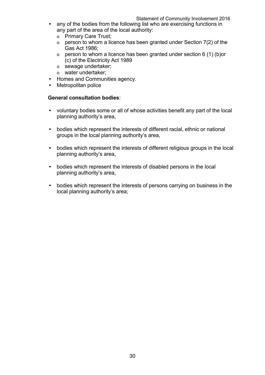- any of the bodies from the following list who are exercising functions in any part of the area of the local authority:
	- o Primary Care Trust;
	- $\circ$  person to whom a licence has been granted under Section 7(2) of the Gas Act 1986;
	- $\circ$  person to whom a licence has been granted under section 6 (1) (b) or (c) of the Electricity Act 1989
	- o sewage undertaker;
	- o water undertaker;
- [Homes and Communities agency.](http://www.homesandcommunities.co.uk/)
- Metropolitan police

#### **General consultation bodies**:

- voluntary bodies some or all of whose activities benefit any part of the local planning authority's area,
- bodies which represent the interests of different racial, ethnic or national groups in the local planning authority's area,
- bodies which represent the interests of different religious groups in the local planning authority's area,
- bodies which represent the interests of disabled persons in the local planning authority's area,
- bodies which represent the interests of persons carrying on business in the local planning authority's area;